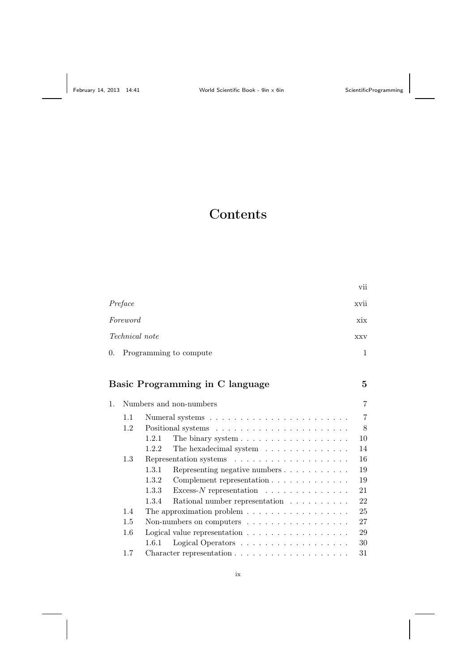# Contents

|                           | vii  |
|---------------------------|------|
| Preface                   | xvii |
| Foreword                  | xix  |
| <i>Technical note</i>     | XXV  |
| 0. Programming to compute | 1    |

## Basic Programming in C language 5

| 1. |         | Numbers and non-numbers                                                | 7              |
|----|---------|------------------------------------------------------------------------|----------------|
|    | 1.1     |                                                                        | $\overline{7}$ |
|    | 1.2     |                                                                        | 8              |
|    |         | 1.2.1<br>The binary system $\ldots \ldots \ldots \ldots \ldots \ldots$ | 10             |
|    |         | 1.2.2<br>The hexadecimal system                                        | 14             |
|    | 1.3     |                                                                        | 16             |
|    |         | Representing negative numbers $\ldots \ldots \ldots$<br>1.3.1          | 19             |
|    |         | 1.3.2<br>Complement representation                                     | 19             |
|    |         | 1.3.3<br>Excess- $N$ representation $\ldots \ldots \ldots \ldots$      | 21             |
|    |         | Rational number representation $\ldots \ldots \ldots$<br>1.3.4         | 22             |
|    | 1.4     | The approximation problem $\dots \dots \dots \dots \dots \dots$        | 25             |
|    | 1.5     | Non-numbers on computers                                               | 27             |
|    | $1.6\,$ | Logical value representation $\dots \dots \dots \dots \dots \dots$     | 29             |
|    |         | Logical Operators<br>1.6.1                                             | 30             |
|    | 1.7     |                                                                        | 31             |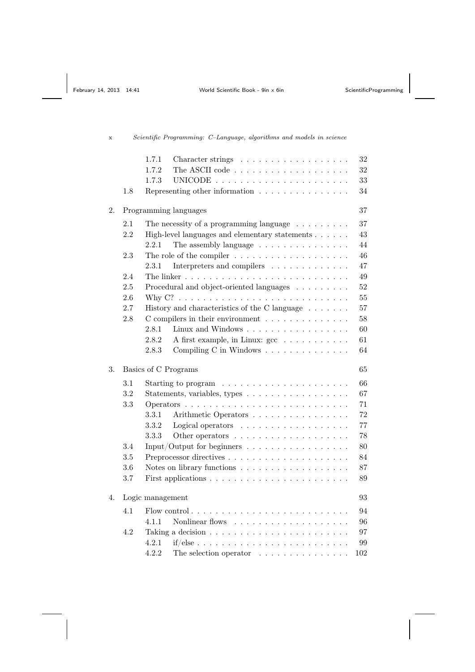## 1.7.1 Character strings . . . . . . . . . . . . . . . . . . 32 1.7.2 The ASCII code . . . . . . . . . . . . . . . . . . . 32 1.7.3 UNICODE . . . . . . . . . . . . . . . . . . . . . . 33 1.8 Representing other information . . . . . . . . . . . . . . . 34 2. Programming languages 37 2.1 The necessity of a programming language  $\ldots \ldots \ldots$  37 2.2 High-level languages and elementary statements . . . . . . 43 2.2.1 The assembly language  $\dots \dots \dots \dots \dots \dots$  44 2.3 The role of the compiler . . . . . . . . . . . . . . . . . . . 46 2.3.1 Interpreters and compilers . . . . . . . . . . . . . 47 2.4 The linker . . . . . . . . . . . . . . . . . . . . . . . . . . . 49 2.5 Procedural and object-oriented languages . . . . . . . . . 52 2.6 Why C? . . . . . . . . . . . . . . . . . . . . . . . . . . . . 55 2.7 History and characteristics of the C language . . . . . . . . 57 2.8 C compilers in their environment . . . . . . . . . . . . . . . 58 2.8.1 Linux and Windows . . . . . . . . . . . . . . . . . 60 2.8.2 A first example, in Linux:  $\sec$   $\ldots \ldots \ldots \ldots$  61 2.8.3 Compiling C in Windows . . . . . . . . . . . . . . . 64 3. Basics of C Programs 65 3.1 Starting to program . . . . . . . . . . . . . . . . . . . . . 66 3.2 Statements, variables, types . . . . . . . . . . . . . . . . . 67 3.3 Operators . . . . . . . . . . . . . . . . . . . . . . . . . . . 71 3.3.1 Arithmetic Operators . . . . . . . . . . . . . . . . 72  $3.3.2$  Logical operators  $\dots \dots \dots \dots \dots \dots \dots \dots$  77 3.3.3 Other operators . . . . . . . . . . . . . . . . . . . 78 3.4 Input/Output for beginners . . . . . . . . . . . . . . . . . 80 3.5 Preprocessor directives . . . . . . . . . . . . . . . . . . . . 84 3.6 Notes on library functions . . . . . . . . . . . . . . . . . . 87 3.7 First applications . . . . . . . . . . . . . . . . . . . . . . . 89 4. Logic management 93 4.1 Flow control . . . . . . . . . . . . . . . . . . . . . . . . . . 94 4.1.1 Nonlinear flows . . . . . . . . . . . . . . . . . . . 96 4.2 Taking a decision . . . . . . . . . . . . . . . . . . . . . . . 97 4.2.1 if/else . . . . . . . . . . . . . . . . . . . . . . . . . 99 4.2.2 The selection operator . . . . . . . . . . . . . . . 102

### x Scientific Programming: C–Language, algorithms and models in science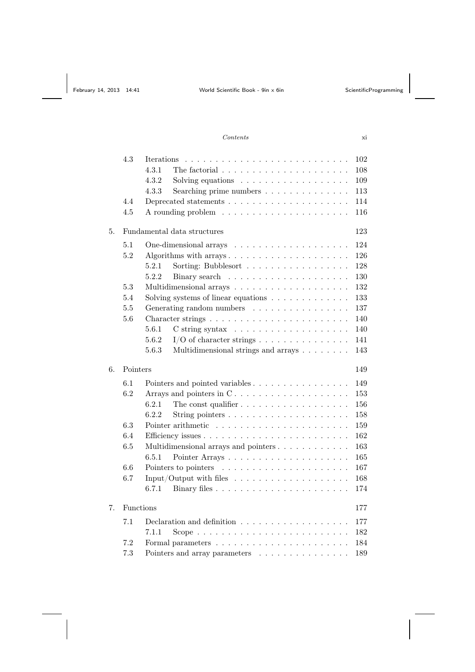#### Contents xi

|    | 4.3       | Iterations<br>the contract of the contract of the contract of the contract of the contract of the contract of the contract of<br>4.3.1<br>The factorial $\ldots \ldots \ldots \ldots \ldots \ldots \ldots$ | 102<br>108 |
|----|-----------|------------------------------------------------------------------------------------------------------------------------------------------------------------------------------------------------------------|------------|
|    |           | 4.3.2<br>Solving equations $\ldots \ldots \ldots \ldots \ldots$                                                                                                                                            | 109        |
|    |           | 4.3.3<br>Searching prime numbers                                                                                                                                                                           | 113        |
|    | 4.4       | Deprecated statements $\dots \dots \dots \dots \dots \dots \dots \dots$                                                                                                                                    | 114        |
|    | 4.5       |                                                                                                                                                                                                            | 116        |
|    |           |                                                                                                                                                                                                            |            |
| 5. |           | Fundamental data structures                                                                                                                                                                                | 123        |
|    | 5.1       |                                                                                                                                                                                                            | 124        |
|    | 5.2       | Algorithms with arrays                                                                                                                                                                                     | 126        |
|    |           | 5.2.1<br>Sorting: Bubblesort                                                                                                                                                                               | 128        |
|    |           | 5.2.2                                                                                                                                                                                                      | 130        |
|    | 5.3       |                                                                                                                                                                                                            | 132        |
|    | 5.4       | Solving systems of linear equations $\ldots \ldots \ldots \ldots$                                                                                                                                          | 133        |
|    | 5.5       | Generating random numbers                                                                                                                                                                                  | 137        |
|    | 5.6       | Character strings $\ldots \ldots \ldots \ldots \ldots \ldots \ldots \ldots$                                                                                                                                | 140        |
|    |           | 5.6.1                                                                                                                                                                                                      | 140        |
|    |           | 5.6.2<br>$I/O$ of character strings                                                                                                                                                                        | 141        |
|    |           | 5.6.3<br>Multidimensional strings and arrays                                                                                                                                                               | 143        |
|    |           |                                                                                                                                                                                                            |            |
| 6. | Pointers  |                                                                                                                                                                                                            | 149        |
|    | 6.1       | Pointers and pointed variables                                                                                                                                                                             | 149        |
|    | 6.2       | Arrays and pointers in $C \ldots \ldots \ldots \ldots \ldots \ldots$                                                                                                                                       | 153        |
|    |           | 6.2.1<br>The const qualifier $\ldots \ldots \ldots \ldots \ldots \ldots$                                                                                                                                   | 156        |
|    |           | 6.2.2                                                                                                                                                                                                      | 158        |
|    | 6.3       |                                                                                                                                                                                                            | 159        |
|    | 6.4       |                                                                                                                                                                                                            | 162        |
|    | 6.5       |                                                                                                                                                                                                            | 163        |
|    |           | 6.5.1                                                                                                                                                                                                      | 165        |
|    | 6.6       |                                                                                                                                                                                                            | 167        |
|    | 6.7       |                                                                                                                                                                                                            | 168        |
|    |           | 6.7.1                                                                                                                                                                                                      | 174        |
|    |           |                                                                                                                                                                                                            |            |
| 7. | Functions |                                                                                                                                                                                                            | 177        |
|    | 7.1       | Declaration and definition $\ldots \ldots \ldots \ldots \ldots \ldots$                                                                                                                                     | 177        |
|    |           | 7.1.1                                                                                                                                                                                                      | 182        |
|    | 7.2       |                                                                                                                                                                                                            | 184        |
|    | 7.3       | Pointers and array parameters                                                                                                                                                                              | 189        |
|    |           |                                                                                                                                                                                                            |            |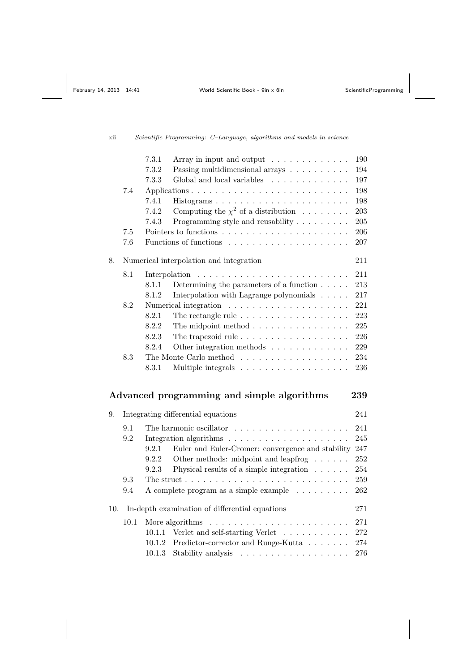### xii Scientific Programming: C–Language, algorithms and models in science

|     |      | 7.3.1<br>Array in input and output                                                 | 190     |
|-----|------|------------------------------------------------------------------------------------|---------|
|     |      | 7.3.2<br>Passing multidimensional arrays                                           | 194     |
|     |      | 7.3.3<br>Global and local variables                                                | 197     |
|     | 7.4  |                                                                                    | 198     |
|     |      | 7.4.1<br>Histograms                                                                | 198     |
|     |      | Computing the $\chi^2$ of a distribution<br>7.4.2                                  | 203     |
|     |      | Programming style and reusability $\ldots \ldots \ldots$<br>7.4.3                  | $205\,$ |
|     | 7.5  |                                                                                    | 206     |
|     | 7.6  |                                                                                    | 207     |
| 8.  |      | Numerical interpolation and integration                                            | 211     |
|     | 8.1  |                                                                                    | 211     |
|     |      | Determining the parameters of a function $\ldots$ .<br>8.1.1                       | 213     |
|     |      | 8.1.2<br>Interpolation with Lagrange polynomials                                   | $217\,$ |
|     | 8.2  |                                                                                    | $221\,$ |
|     |      | The rectangle rule $\ldots \ldots \ldots \ldots \ldots \ldots$<br>8.2.1            | 223     |
|     |      | 8.2.2<br>The midpoint method $\ldots \ldots \ldots \ldots \ldots$                  | 225     |
|     |      | The trapezoid rule $\ldots \ldots \ldots \ldots \ldots \ldots$<br>8.2.3            | 226     |
|     |      | Other integration methods<br>8.2.4                                                 | 229     |
|     | 8.3  | The Monte Carlo method                                                             | 234     |
|     |      | 8.3.1                                                                              | 236     |
|     |      |                                                                                    | 239     |
|     |      | Advanced programming and simple algorithms                                         |         |
| 9.  |      | Integrating differential equations                                                 | 241     |
|     | 9.1  | The harmonic oscillator $\dots \dots \dots \dots \dots \dots \dots$                | 241     |
|     | 9.2  | Integration algorithms $\ldots \ldots \ldots \ldots \ldots \ldots \ldots$          | 245     |
|     |      | 9.2.1<br>Euler and Euler-Cromer: convergence and stability                         | 247     |
|     |      | Other methods: midpoint and leapfrog<br>9.2.2                                      | 252     |
|     |      | Physical results of a simple integration $\dots \dots$<br>9.2.3                    | 254     |
|     | 9.3  | The struct $\ldots \ldots \ldots \ldots \ldots \ldots \ldots \ldots \ldots \ldots$ | 259     |
|     | 9.4  | A complete program as a simple example                                             | 262     |
| 10. |      | In-depth examination of differential equations                                     | 271     |
|     | 10.1 | More algorithms                                                                    | 271     |
|     |      | Verlet and self-starting Verlet<br>10.1.1                                          | 272     |
|     |      | 10.1.2<br>Predictor-corrector and Runge-Kutta $\ldots \ldots$                      | 274     |
|     |      | 10.1.3<br>Stability analysis                                                       | 276     |